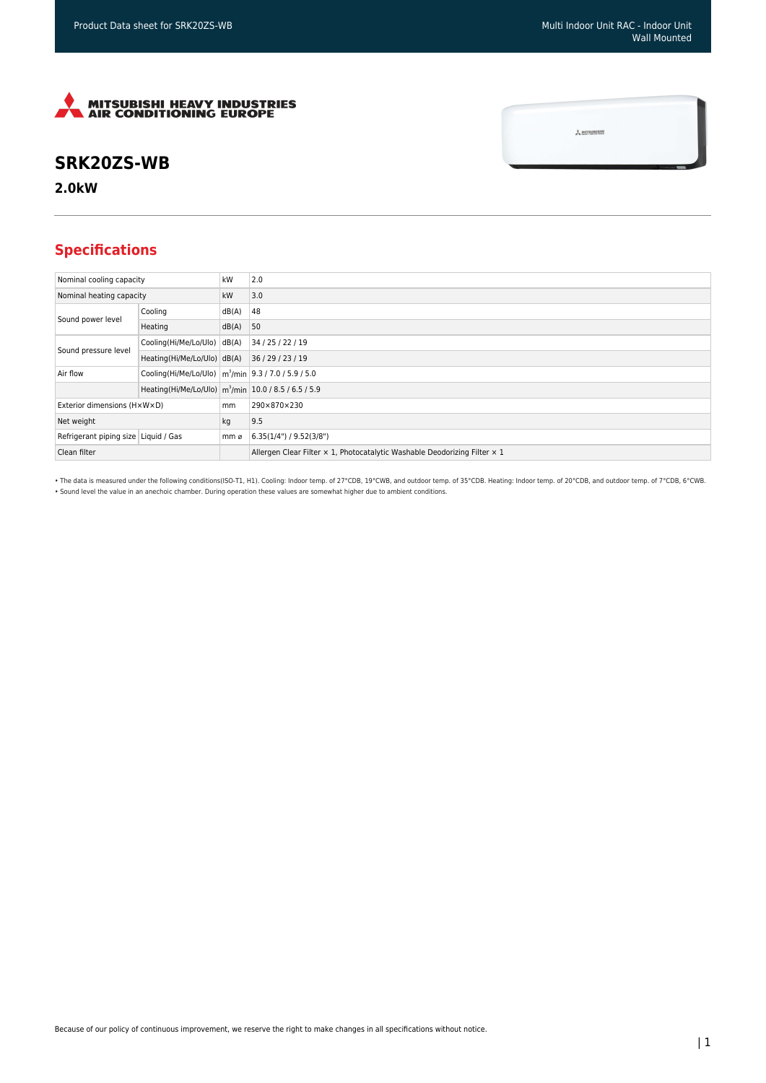$\frac{1}{2}$  MITSUBISHI



## **SRK20ZS-WB**

**2.0kW**

## **Specifications**

| Nominal cooling capacity             |                                                                     | kW    | 2.0                                                                       |
|--------------------------------------|---------------------------------------------------------------------|-------|---------------------------------------------------------------------------|
| Nominal heating capacity             |                                                                     | kW    | 3.0                                                                       |
| Sound power level                    | Cooling                                                             | dB(A) | 48                                                                        |
|                                      | Heating                                                             | dB(A) | 50                                                                        |
| Sound pressure level                 | Cooling(Hi/Me/Lo/Ulo)                                               | dB(A) | 34 / 25 / 22 / 19                                                         |
|                                      | Heating(Hi/Me/Lo/Ulo) dB(A)                                         |       | 36/29/23/19                                                               |
| Air flow                             | Cooling(Hi/Me/Lo/Ulo)   m <sup>3</sup> /min   9.3 / 7.0 / 5.9 / 5.0 |       |                                                                           |
|                                      | Heating(Hi/Me/Lo/Ulo) m <sup>3</sup> /min 10.0 / 8.5 / 6.5 / 5.9    |       |                                                                           |
| Exterior dimensions (HxWxD)          |                                                                     | mm    | 290×870×230                                                               |
| Net weight                           |                                                                     | kg    | 9.5                                                                       |
| Refrigerant piping size Liquid / Gas |                                                                     | mm ø  | 6.35(1/4")/9.52(3/8")                                                     |
| Clean filter                         |                                                                     |       | Allergen Clear Filter x 1, Photocatalytic Washable Deodorizing Filter x 1 |

• The data is measured under the following conditions(ISO-T1, H1). Cooling: Indoor temp. of 27°CDB, 19°CWB, and outdoor temp. of 35°CDB. Heating: Indoor temp. of 20°CDB, and outdoor temp. of 7°CDB, 6°CWB. • Sound level the value in an anechoic chamber. During operation these values are somewhat higher due to ambient conditions.